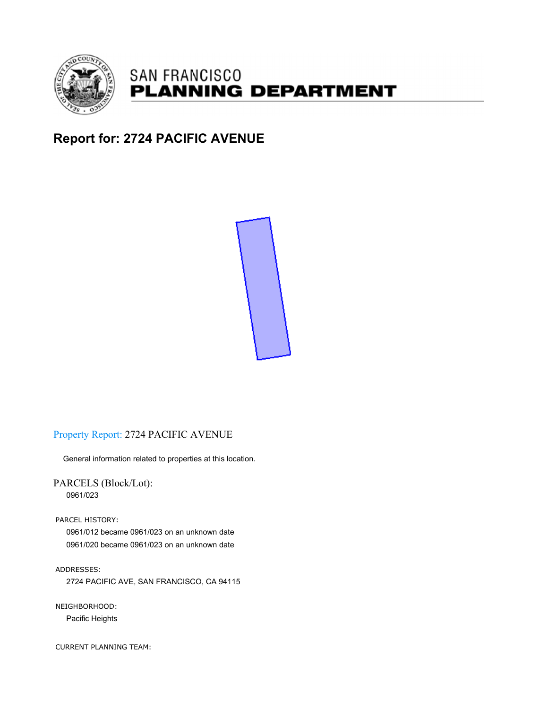

# **SAN FRANCISCO PLANNING DEPARTMENT**

# **Report for: 2724 PACIFIC AVENUE**



# Property Report: 2724 PACIFIC AVENUE

General information related to properties at this location.

PARCELS (Block/Lot): 0961/023

PARCEL HISTORY:

0961/012 became 0961/023 on an unknown date 0961/020 became 0961/023 on an unknown date

ADDRESSES: 2724 PACIFIC AVE, SAN FRANCISCO, CA 94115

NEIGHBORHOOD: Pacific Heights

CURRENT PLANNING TEAM: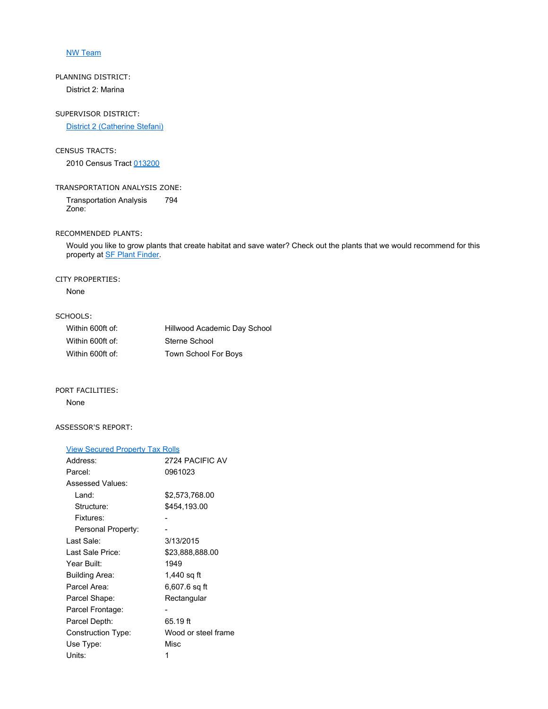### NW Team

# PLANNING DISTRICT: District 2: Marina

SUPERVISOR DISTRICT:

District 2 (Catherine Stefani)

### CENSUS TRACTS:

2010 Census Tract 013200

## TRANSPORTATION ANALYSIS ZONE:

Transportation Analysis Zone: 794

#### RECOMMENDED PLANTS:

Would you like to grow plants that create habitat and save water? Check out the plants that we would recommend for this property at **SF Plant Finder**.

#### CITY PROPERTIES:

None

### SCHOOLS:

| Within 600ft of: | Hillwood Academic Day School |
|------------------|------------------------------|
| Within 600ft of: | Sterne School                |
| Within 600ft of: | Town School For Boys         |

#### PORT FACILITIES:

### None

### ASSESSOR'S REPORT:

#### View Secured Property Tax Rolls

| Address:           | 2724 PACIFIC AV     |
|--------------------|---------------------|
| Parcel:            | 0961023             |
| Assessed Values:   |                     |
| Land:              | \$2,573,768.00      |
| Structure:         | \$454,193.00        |
| Fixtures:          |                     |
| Personal Property: |                     |
| Last Sale:         | 3/13/2015           |
| l ast Sale Price:  | \$23,888,888.00     |
| Year Built:        | 1949                |
| Building Area:     | 1,440 sq ft         |
| Parcel Area:       | 6,607.6 sq ft       |
| Parcel Shape:      | Rectangular         |
| Parcel Frontage:   |                     |
| Parcel Depth:      | 65.19 ft            |
| Construction Type: | Wood or steel frame |
| Use Type:          | Misc                |
| Units:             | 1                   |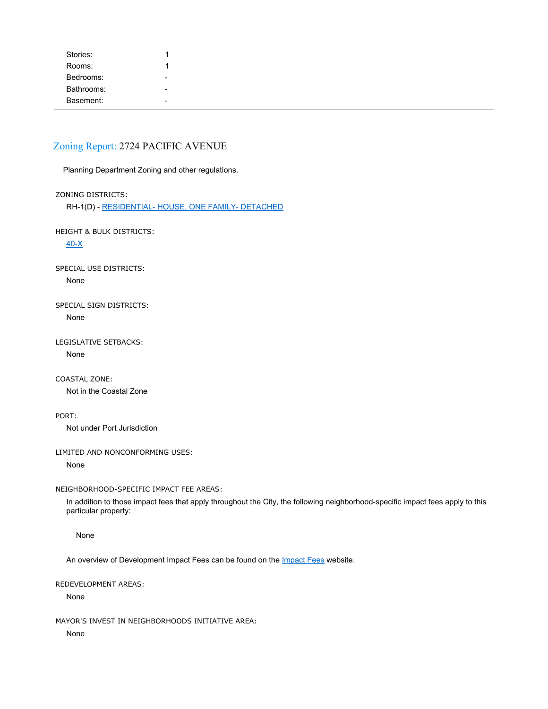| Stories:   |                          |
|------------|--------------------------|
| Rooms:     |                          |
| Bedrooms:  | $\overline{\phantom{a}}$ |
| Bathrooms: | $\blacksquare$           |
| Basement:  | $\blacksquare$           |

# Zoning Report: 2724 PACIFIC AVENUE

Planning Department Zoning and other regulations.

ZONING DISTRICTS:

RH-1(D) - RESIDENTIAL- HOUSE, ONE FAMILY- DETACHED

HEIGHT & BULK DISTRICTS:

40-X

SPECIAL USE DISTRICTS: None

SPECIAL SIGN DISTRICTS: None

LEGISLATIVE SETBACKS:

None

COASTAL ZONE:

Not in the Coastal Zone

PORT:

Not under Port Jurisdiction

LIMITED AND NONCONFORMING USES:

None

NEIGHBORHOOD-SPECIFIC IMPACT FEE AREAS:

In addition to those impact fees that apply throughout the City, the following neighborhood-specific impact fees apply to this particular property:

None

An overview of Development Impact Fees can be found on the *Impact Fees* website.

REDEVELOPMENT AREAS:

None

MAYOR'S INVEST IN NEIGHBORHOODS INITIATIVE AREA:

None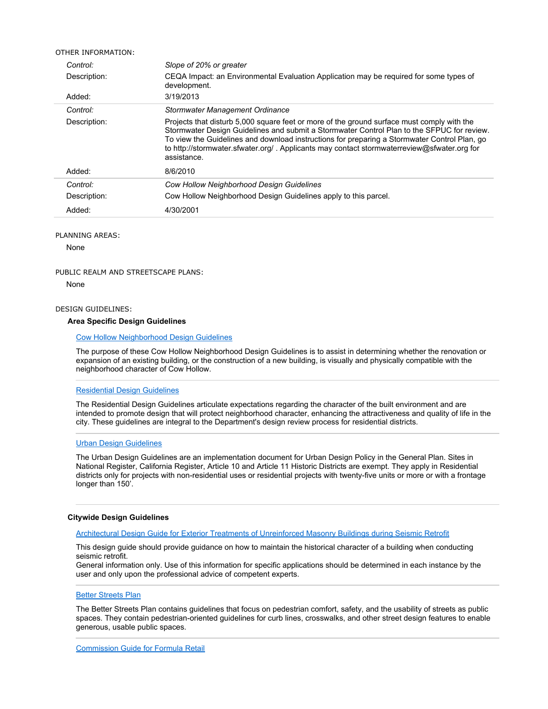| OTHER INFORMATION: |                                                                                                                                                                                                                                                                                                                                                                                                       |
|--------------------|-------------------------------------------------------------------------------------------------------------------------------------------------------------------------------------------------------------------------------------------------------------------------------------------------------------------------------------------------------------------------------------------------------|
| Control:           | Slope of 20% or greater                                                                                                                                                                                                                                                                                                                                                                               |
| Description:       | CEQA Impact: an Environmental Evaluation Application may be required for some types of<br>development.                                                                                                                                                                                                                                                                                                |
| Added:             | 3/19/2013                                                                                                                                                                                                                                                                                                                                                                                             |
| Control:           | Stormwater Management Ordinance                                                                                                                                                                                                                                                                                                                                                                       |
| Description:       | Projects that disturb 5,000 square feet or more of the ground surface must comply with the<br>Stormwater Design Guidelines and submit a Stormwater Control Plan to the SFPUC for review.<br>To view the Guidelines and download instructions for preparing a Stormwater Control Plan, go<br>to http://stormwater.sfwater.org/. Applicants may contact stormwaterreview@sfwater.org for<br>assistance. |
| Added:             | 8/6/2010                                                                                                                                                                                                                                                                                                                                                                                              |
| Control:           | Cow Hollow Neighborhood Design Guidelines                                                                                                                                                                                                                                                                                                                                                             |
| Description:       | Cow Hollow Neighborhood Design Guidelines apply to this parcel.                                                                                                                                                                                                                                                                                                                                       |
| Added:             | 4/30/2001                                                                                                                                                                                                                                                                                                                                                                                             |

#### PLANNING AREAS:

None

#### PUBLIC REALM AND STREETSCAPE PLANS:

None

#### DESIGN GUIDELINES:

#### **Area Specific Design Guidelines**

### Cow Hollow Neighborhood Design Guidelines

The purpose of these Cow Hollow Neighborhood Design Guidelines is to assist in determining whether the renovation or expansion of an existing building, or the construction of a new building, is visually and physically compatible with the neighborhood character of Cow Hollow.

#### Residential Design Guidelines

The Residential Design Guidelines articulate expectations regarding the character of the built environment and are intended to promote design that will protect neighborhood character, enhancing the attractiveness and quality of life in the city. These guidelines are integral to the Department's design review process for residential districts.

#### Urban Design Guidelines

The Urban Design Guidelines are an implementation document for Urban Design Policy in the General Plan. Sites in National Register, California Register, Article 10 and Article 11 Historic Districts are exempt. They apply in Residential districts only for projects with non-residential uses or residential projects with twenty-five units or more or with a frontage longer than 150'.

#### **Citywide Design Guidelines**

Architectural Design Guide for Exterior Treatments of Unreinforced Masonry Buildings during Seismic Retrofit

This design guide should provide guidance on how to maintain the historical character of a building when conducting seismic retrofit.

General information only. Use of this information for specific applications should be determined in each instance by the user and only upon the professional advice of competent experts.

#### **Better Streets Plan**

The Better Streets Plan contains guidelines that focus on pedestrian comfort, safety, and the usability of streets as public spaces. They contain pedestrian-oriented guidelines for curb lines, crosswalks, and other street design features to enable generous, usable public spaces.

Commission Guide for Formula Retail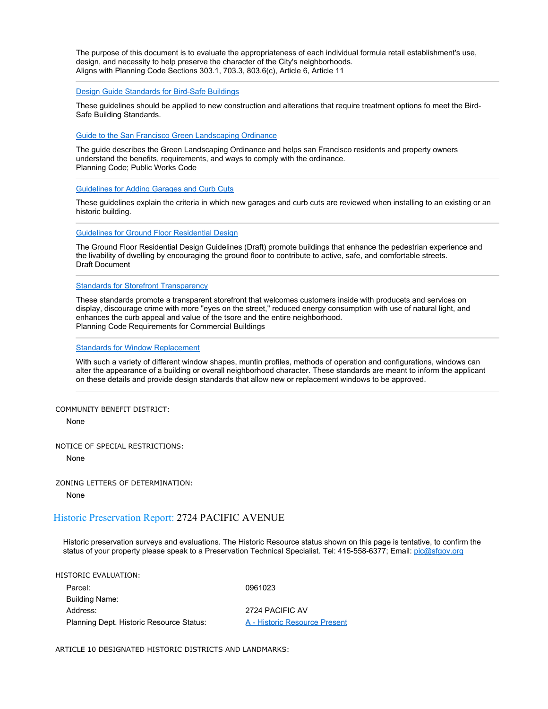The purpose of this document is to evaluate the appropriateness of each individual formula retail establishment's use, design, and necessity to help preserve the character of the City's neighborhoods. Aligns with Planning Code Sections 303.1, 703.3, 803.6(c), Article 6, Article 11

#### Design Guide Standards for Bird-Safe Buildings

These guidelines should be applied to new construction and alterations that require treatment options fo meet the Bird-Safe Building Standards.

Guide to the San Francisco Green Landscaping Ordinance

The guide describes the Green Landscaping Ordinance and helps san Francisco residents and property owners understand the benefits, requirements, and ways to comply with the ordinance. Planning Code; Public Works Code

Guidelines for Adding Garages and Curb Cuts

These guidelines explain the criteria in which new garages and curb cuts are reviewed when installing to an existing or an historic building.

Guidelines for Ground Floor Residential Design

The Ground Floor Residential Design Guidelines (Draft) promote buildings that enhance the pedestrian experience and the livability of dwelling by encouraging the ground floor to contribute to active, safe, and comfortable streets. Draft Document

Standards for Storefront Transparency

These standards promote a transparent storefront that welcomes customers inside with producets and services on display, discourage crime with more "eyes on the street," reduced energy consumption with use of natural light, and enhances the curb appeal and value of the tsore and the entire neighborhood. Planning Code Requirements for Commercial Buildings

#### Standards for Window Replacement

With such a variety of different window shapes, muntin profiles, methods of operation and configurations, windows can alter the appearance of a building or overall neighborhood character. These standards are meant to inform the applicant on these details and provide design standards that allow new or replacement windows to be approved.

COMMUNITY BENEFIT DISTRICT:

None

NOTICE OF SPECIAL RESTRICTIONS:

None

ZONING LETTERS OF DETERMINATION:

None

#### Historic Preservation Report: 2724 PACIFIC AVENUE

Historic preservation surveys and evaluations. The Historic Resource status shown on this page is tentative, to confirm the status of your property please speak to a Preservation Technical Specialist. Tel: 415-558-6377; Email: pic@sfgov.org

HISTORIC EVALUATION: Parcel: 0961023 Building Name: Address: 2724 PACIFIC AV

Planning Dept. Historic Resource Status: A - Historic Resource Present

ARTICLE 10 DESIGNATED HISTORIC DISTRICTS AND LANDMARKS: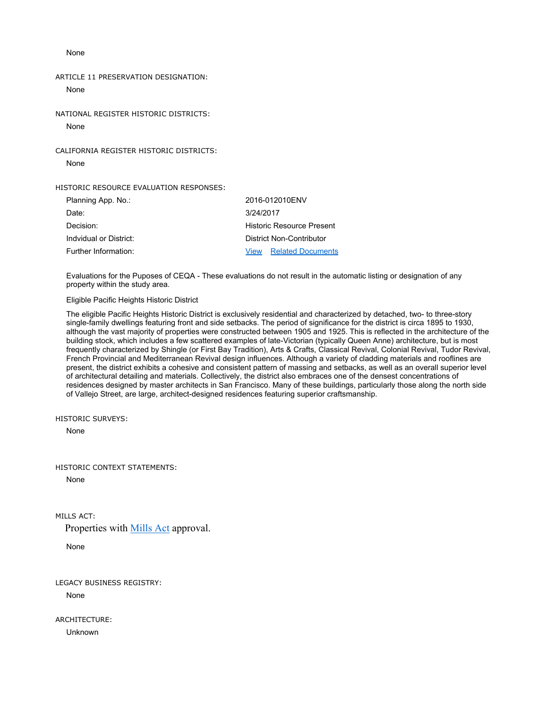None

ARTICLE 11 PRESERVATION DESIGNATION: None

NATIONAL REGISTER HISTORIC DISTRICTS: None

CALIFORNIA REGISTER HISTORIC DISTRICTS: None

HISTORIC RESOURCE EVALUATION RESPONSES:

| Planning App. No.:     | 2016-012010ENV                   |
|------------------------|----------------------------------|
| Date:                  | 3/24/2017                        |
| Decision:              | Historic Resource Present        |
| Indvidual or District: | District Non-Contributor         |
| Further Information:   | <b>Related Documents</b><br>View |

Evaluations for the Puposes of CEQA - These evaluations do not result in the automatic listing or designation of any property within the study area.

Eligible Pacific Heights Historic District

The eligible Pacific Heights Historic District is exclusively residential and characterized by detached, two- to three-story single-family dwellings featuring front and side setbacks. The period of significance for the district is circa 1895 to 1930, although the vast majority of properties were constructed between 1905 and 1925. This is reflected in the architecture of the building stock, which includes a few scattered examples of late-Victorian (typically Queen Anne) architecture, but is most frequently characterized by Shingle (or First Bay Tradition), Arts & Crafts, Classical Revival, Colonial Revival, Tudor Revival, French Provincial and Mediterranean Revival design influences. Although a variety of cladding materials and rooflines are present, the district exhibits a cohesive and consistent pattern of massing and setbacks, as well as an overall superior level of architectural detailing and materials. Collectively, the district also embraces one of the densest concentrations of residences designed by master architects in San Francisco. Many of these buildings, particularly those along the north side of Vallejo Street, are large, architect-designed residences featuring superior craftsmanship.

HISTORIC SURVEYS:

None

HISTORIC CONTEXT STATEMENTS:

None

MILLS ACT:

Properties with Mills Act approval.

None

LEGACY BUSINESS REGISTRY:

None

ARCHITECTURE:

Unknown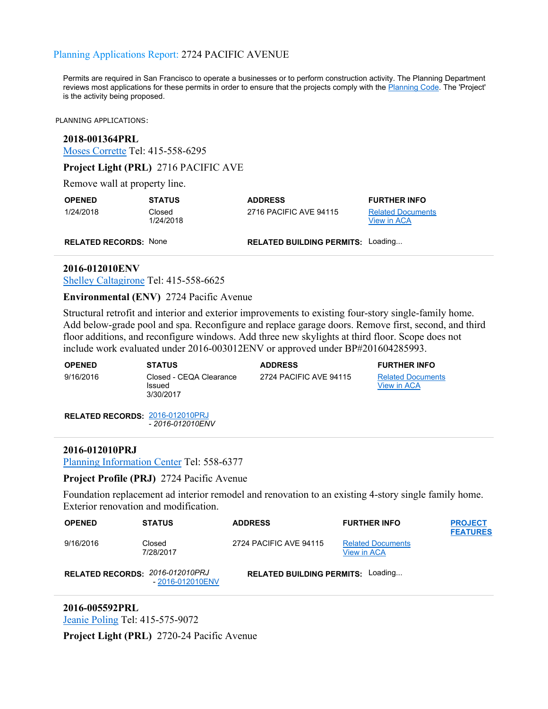# Planning Applications Report: 2724 PACIFIC AVENUE

Permits are required in San Francisco to operate a businesses or to perform construction activity. The Planning Department reviews most applications for these permits in order to ensure that the projects comply with the Planning Code. The 'Project' is the activity being proposed.

PLANNING APPLICATIONS:

### **2018-001364PRL**

Moses Corrette Tel: 415-558-6295

**Project Light (PRL)** 2716 PACIFIC AVE

Remove wall at property line.

| <b>OPENED</b>                | <b>STATUS</b>       | <b>ADDRESS</b>                           | <b>FURTHER INFO</b>                     |
|------------------------------|---------------------|------------------------------------------|-----------------------------------------|
| 1/24/2018                    | Closed<br>1/24/2018 | 2716 PACIFIC AVE 94115                   | <b>Related Documents</b><br>View in ACA |
| <b>RELATED RECORDS: None</b> |                     | <b>RELATED BUILDING PERMITS: Loading</b> |                                         |

### **2016-012010ENV**

Shelley Caltagirone Tel: 415-558-6625

## **Environmental (ENV)** 2724 Pacific Avenue

Structural retrofit and interior and exterior improvements to existing four-story single-family home. Add below-grade pool and spa. Reconfigure and replace garage doors. Remove first, second, and third floor additions, and reconfigure windows. Add three new skylights at third floor. Scope does not include work evaluated under 2016-003012ENV or approved under BP#201604285993.

| <b>OPENED</b>                          | <b>STATUS</b>                                  | <b>ADDRESS</b>         | <b>FURTHER INFO</b>                     |
|----------------------------------------|------------------------------------------------|------------------------|-----------------------------------------|
| 9/16/2016                              | Closed - CEQA Clearance<br>Issued<br>3/30/2017 | 2724 PACIFIC AVE 94115 | <b>Related Documents</b><br>View in ACA |
| <b>RELATED RECORDS: 2016-012010PRJ</b> |                                                |                        |                                         |

- *2016-012010ENV*

### **2016-012010PRJ**

Planning Information Center Tel: 558-6377

## **Project Profile (PRJ)** 2724 Pacific Avenue

Foundation replacement ad interior remodel and renovation to an existing 4-story single family home. Exterior renovation and modification.

| <b>OPENED</b>                   | <b>STATUS</b>       | <b>ADDRESS</b>                           | <b>FURTHER INFO</b>                            | <b>PROJECT</b><br><b>FEATURES</b> |
|---------------------------------|---------------------|------------------------------------------|------------------------------------------------|-----------------------------------|
| 9/16/2016                       | Closed<br>7/28/2017 | 2724 PACIFIC AVE 94115                   | <b>Related Documents</b><br><b>View in ACA</b> |                                   |
| RELATED RECORDS: 2016-012010PRJ | - 2016-012010ENV    | <b>RELATED BUILDING PERMITS: Loading</b> |                                                |                                   |

# **2016-005592PRL**

Jeanie Poling Tel: 415-575-9072

**Project Light (PRL)** 2720-24 Pacific Avenue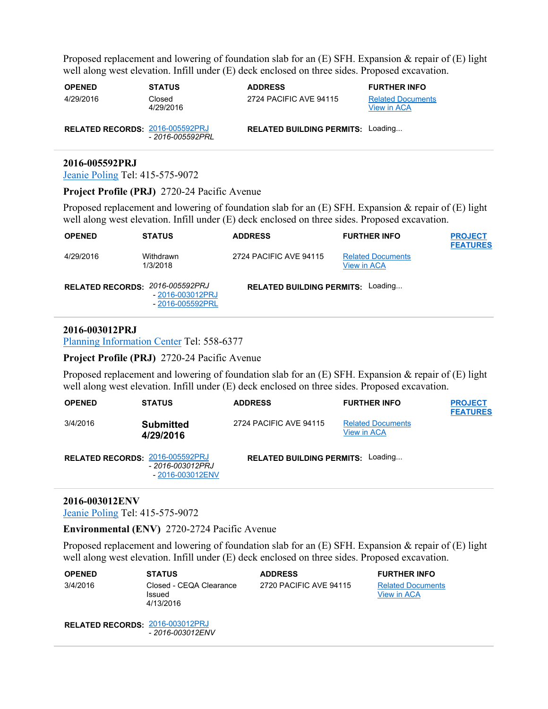Proposed replacement and lowering of foundation slab for an (E) SFH. Expansion & repair of (E) light well along west elevation. Infill under (E) deck enclosed on three sides. Proposed excavation.

| <b>OPENED</b>                   | <b>STATUS</b>       | <b>ADDRESS</b>                           | <b>FURTHER INFO</b>                            |
|---------------------------------|---------------------|------------------------------------------|------------------------------------------------|
| 4/29/2016                       | Closed<br>4/29/2016 | 2724 PACIFIC AVE 94115                   | <b>Related Documents</b><br><b>View in ACA</b> |
| RELATED RECORDS: 2016-005592PRJ | - 2016-005592PRL    | <b>RELATED BUILDING PERMITS: Loading</b> |                                                |

### **2016-005592PRJ**

Jeanie Poling Tel: 415-575-9072

**Project Profile (PRJ)** 2720-24 Pacific Avenue

Proposed replacement and lowering of foundation slab for an (E) SFH. Expansion & repair of (E) light well along west elevation. Infill under (E) deck enclosed on three sides. Proposed excavation.

| <b>OPENED</b>                   | <b>STATUS</b>                        | <b>ADDRESS</b>                           | <b>FURTHER INFO</b>                            | <b>PROJECT</b><br><b>FEATURES</b> |
|---------------------------------|--------------------------------------|------------------------------------------|------------------------------------------------|-----------------------------------|
| 4/29/2016                       | Withdrawn<br>1/3/2018                | 2724 PACIFIC AVE 94115                   | <b>Related Documents</b><br><b>View in ACA</b> |                                   |
| RELATED RECORDS: 2016-005592PRJ | - 2016-003012PRJ<br>- 2016-005592PRL | <b>RELATED BUILDING PERMITS: Loading</b> |                                                |                                   |

# **2016-003012PRJ**

Planning Information Center Tel: 558-6377

**Project Profile (PRJ)** 2720-24 Pacific Avenue

Proposed replacement and lowering of foundation slab for an (E) SFH. Expansion & repair of (E) light well along west elevation. Infill under (E) deck enclosed on three sides. Proposed excavation.

| <b>OPENED</b>                   | <b>STATUS</b>                        | <b>ADDRESS</b>                           | <b>FURTHER INFO</b>                            | <b>PROJECT</b><br><b>FEATURES</b> |
|---------------------------------|--------------------------------------|------------------------------------------|------------------------------------------------|-----------------------------------|
| 3/4/2016                        | <b>Submitted</b><br>4/29/2016        | 2724 PACIFIC AVE 94115                   | <b>Related Documents</b><br><b>View in ACA</b> |                                   |
| RELATED RECORDS: 2016-005592PRJ | - 2016-003012PRJ<br>- 2016-003012ENV | <b>RELATED BUILDING PERMITS: Loading</b> |                                                |                                   |

# **2016-003012ENV**

Jeanie Poling Tel: 415-575-9072

**Environmental (ENV)** 2720-2724 Pacific Avenue

Proposed replacement and lowering of foundation slab for an (E) SFH. Expansion & repair of (E) light well along west elevation. Infill under (E) deck enclosed on three sides. Proposed excavation.

| <b>OPENED</b> | <b>STATUS</b>                                  | <b>ADDRESS</b>         | <b>FURTHER INFO</b>                     |
|---------------|------------------------------------------------|------------------------|-----------------------------------------|
| 3/4/2016      | Closed - CEQA Clearance<br>Issued<br>4/13/2016 | 2720 PACIFIC AVE 94115 | <b>Related Documents</b><br>View in ACA |

**RELATED RECORDS:** 2016-003012PRJ - *2016-003012ENV*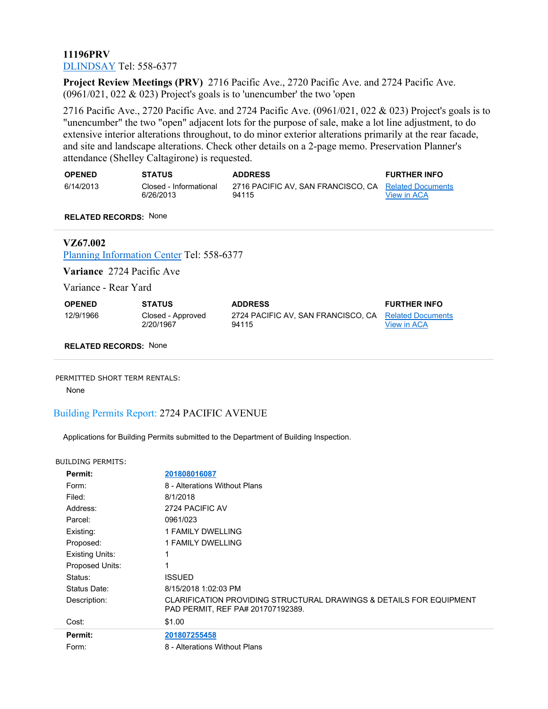# **11196PRV** DLINDSAY Tel: 558-6377

**Project Review Meetings (PRV)** 2716 Pacific Ave., 2720 Pacific Ave. and 2724 Pacific Ave. (0961/021, 022 & 023) Project's goals is to 'unencumber' the two 'open

2716 Pacific Ave., 2720 Pacific Ave. and 2724 Pacific Ave. (0961/021, 022 & 023) Project's goals is to "unencumber" the two "open" adjacent lots for the purpose of sale, make a lot line adjustment, to do extensive interior alterations throughout, to do minor exterior alterations primarily at the rear facade, and site and landscape alterations. Check other details on a 2-page memo. Preservation Planner's attendance (Shelley Caltagirone) is requested.

| <b>OPENED</b> | <b>STATUS</b>          | <b>ADDRESS</b>                                       | <b>FURTHER INFO</b> |
|---------------|------------------------|------------------------------------------------------|---------------------|
| 6/14/2013     | Closed - Informational | 2716 PACIFIC AV, SAN FRANCISCO, CA Related Documents |                     |
|               | 6/26/2013              | 94115                                                | View in ACA         |

**RELATED RECORDS:** None

# **VZ67.002**

Planning Information Center Tel: 558-6377

**Variance** 2724 Pacific Ave

Variance - Rear Yard

| <b>OPENED</b> | <b>STATUS</b>                  | <b>ADDRESS</b>                                                | <b>FURTHER INFO</b> |
|---------------|--------------------------------|---------------------------------------------------------------|---------------------|
| 12/9/1966     | Closed - Approved<br>2/20/1967 | 2724 PACIFIC AV. SAN FRANCISCO, CA Related Documents<br>94115 | View in ACA         |

**RELATED RECORDS:** None

#### PERMITTED SHORT TERM RENTALS:

None

# Building Permits Report: 2724 PACIFIC AVENUE

Applications for Building Permits submitted to the Department of Building Inspection.

#### BUILDING PERMITS:

| Permit:                | 201808016087                                                                                             |
|------------------------|----------------------------------------------------------------------------------------------------------|
| Form:                  | 8 - Alterations Without Plans                                                                            |
| Filed:                 | 8/1/2018                                                                                                 |
| Address:               | 2724 PACIFIC AV                                                                                          |
| Parcel:                | 0961/023                                                                                                 |
| Existing:              | 1 FAMILY DWELLING                                                                                        |
| Proposed:              | 1 FAMILY DWELLING                                                                                        |
| <b>Existing Units:</b> | 1                                                                                                        |
| Proposed Units:        | 1                                                                                                        |
| Status:                | ISSUED                                                                                                   |
| Status Date:           | 8/15/2018 1:02:03 PM                                                                                     |
| Description:           | CLARIFICATION PROVIDING STRUCTURAL DRAWINGS & DETAILS FOR EQUIPMENT<br>PAD PERMIT, REF PA# 201707192389. |
| Cost:                  | \$1.00                                                                                                   |
| Permit:                | 201807255458                                                                                             |
| Form:                  | 8 - Alterations Without Plans                                                                            |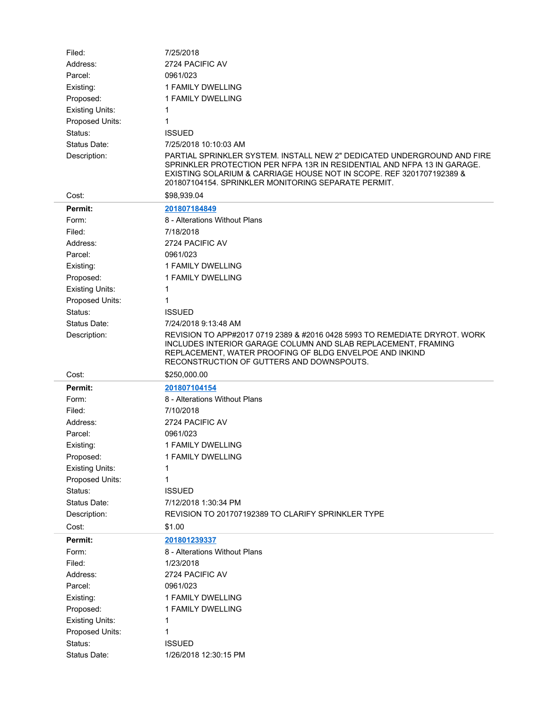| Filed:                 | 7/25/2018                                                                                                                                                                                                                                                                         |
|------------------------|-----------------------------------------------------------------------------------------------------------------------------------------------------------------------------------------------------------------------------------------------------------------------------------|
| Address:               | 2724 PACIFIC AV                                                                                                                                                                                                                                                                   |
| Parcel:                | 0961/023                                                                                                                                                                                                                                                                          |
| Existing:              | 1 FAMILY DWELLING                                                                                                                                                                                                                                                                 |
| Proposed:              | 1 FAMILY DWELLING                                                                                                                                                                                                                                                                 |
| <b>Existing Units:</b> | 1                                                                                                                                                                                                                                                                                 |
| Proposed Units:        | 1                                                                                                                                                                                                                                                                                 |
| Status:                | <b>ISSUED</b>                                                                                                                                                                                                                                                                     |
| Status Date:           | 7/25/2018 10:10:03 AM                                                                                                                                                                                                                                                             |
| Description:           | PARTIAL SPRINKLER SYSTEM. INSTALL NEW 2" DEDICATED UNDERGROUND AND FIRE<br>SPRINKLER PROTECTION PER NFPA 13R IN RESIDENTIAL AND NFPA 13 IN GARAGE.<br>EXISTING SOLARIUM & CARRIAGE HOUSE NOT IN SCOPE. REF 3201707192389 &<br>201807104154. SPRINKLER MONITORING SEPARATE PERMIT. |
| Cost:                  | \$98,939.04                                                                                                                                                                                                                                                                       |
| Permit:                | 201807184849                                                                                                                                                                                                                                                                      |
| Form:                  | 8 - Alterations Without Plans                                                                                                                                                                                                                                                     |
| Filed:                 | 7/18/2018                                                                                                                                                                                                                                                                         |
| Address:               | 2724 PACIFIC AV                                                                                                                                                                                                                                                                   |
| Parcel:                | 0961/023                                                                                                                                                                                                                                                                          |
| Existing:              | 1 FAMILY DWELLING                                                                                                                                                                                                                                                                 |
| Proposed:              | 1 FAMILY DWELLING                                                                                                                                                                                                                                                                 |
| <b>Existing Units:</b> | 1                                                                                                                                                                                                                                                                                 |
| Proposed Units:        | 1                                                                                                                                                                                                                                                                                 |
| Status:                | <b>ISSUED</b>                                                                                                                                                                                                                                                                     |
| Status Date:           | 7/24/2018 9:13:48 AM                                                                                                                                                                                                                                                              |
| Description:           | REVISION TO APP#2017 0719 2389 & #2016 0428 5993 TO REMEDIATE DRYROT. WORK<br>INCLUDES INTERIOR GARAGE COLUMN AND SLAB REPLACEMENT, FRAMING                                                                                                                                       |
|                        | REPLACEMENT, WATER PROOFING OF BLDG ENVELPOE AND INKIND<br>RECONSTRUCTION OF GUTTERS AND DOWNSPOUTS.                                                                                                                                                                              |
| Cost:                  | \$250,000.00                                                                                                                                                                                                                                                                      |
| Permit:                | 201807104154                                                                                                                                                                                                                                                                      |
| Form:                  | 8 - Alterations Without Plans                                                                                                                                                                                                                                                     |
| Filed:                 | 7/10/2018                                                                                                                                                                                                                                                                         |
| Address:               | 2724 PACIFIC AV                                                                                                                                                                                                                                                                   |
| Parcel:                | 0961/023                                                                                                                                                                                                                                                                          |
| Existing:              | 1 FAMILY DWELLING                                                                                                                                                                                                                                                                 |
| Proposed:              | 1 FAMILY DWELLING                                                                                                                                                                                                                                                                 |
| <b>Existing Units:</b> | 1                                                                                                                                                                                                                                                                                 |
| Proposed Units:        | 1                                                                                                                                                                                                                                                                                 |
| Status:                | <b>ISSUED</b>                                                                                                                                                                                                                                                                     |
| Status Date:           | 7/12/2018 1:30:34 PM                                                                                                                                                                                                                                                              |
| Description:           | REVISION TO 201707192389 TO CLARIFY SPRINKLER TYPE                                                                                                                                                                                                                                |
| Cost:                  | \$1.00                                                                                                                                                                                                                                                                            |
| Permit:                | 201801239337                                                                                                                                                                                                                                                                      |
| Form:                  | 8 - Alterations Without Plans                                                                                                                                                                                                                                                     |
| Filed:                 | 1/23/2018                                                                                                                                                                                                                                                                         |
| Address:               | 2724 PACIFIC AV                                                                                                                                                                                                                                                                   |
| Parcel:                | 0961/023                                                                                                                                                                                                                                                                          |
| Existing:              | 1 FAMILY DWELLING                                                                                                                                                                                                                                                                 |
| Proposed:              | 1 FAMILY DWELLING                                                                                                                                                                                                                                                                 |
| <b>Existing Units:</b> | 1                                                                                                                                                                                                                                                                                 |
| Proposed Units:        | 1                                                                                                                                                                                                                                                                                 |
| Status:                | <b>ISSUED</b>                                                                                                                                                                                                                                                                     |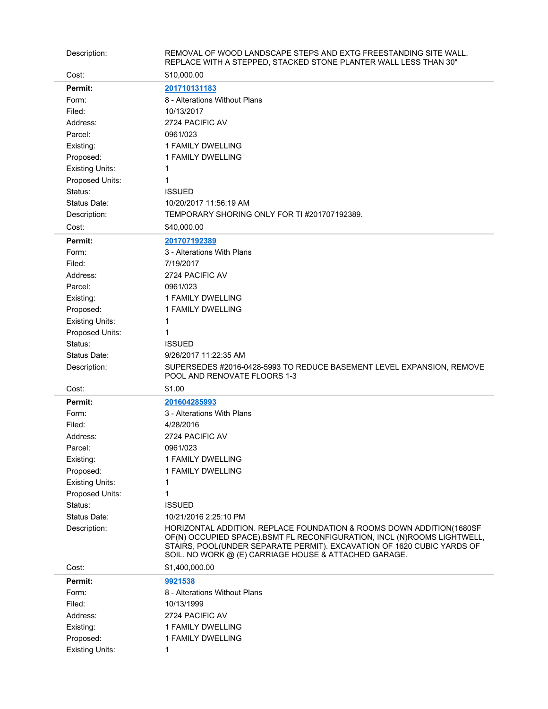| Description:           | REMOVAL OF WOOD LANDSCAPE STEPS AND EXTG FREESTANDING SITE WALL.<br>REPLACE WITH A STEPPED, STACKED STONE PLANTER WALL LESS THAN 30"                                                                                                                                               |
|------------------------|------------------------------------------------------------------------------------------------------------------------------------------------------------------------------------------------------------------------------------------------------------------------------------|
| Cost:                  | \$10,000.00                                                                                                                                                                                                                                                                        |
| Permit:                | 201710131183                                                                                                                                                                                                                                                                       |
| Form:                  | 8 - Alterations Without Plans                                                                                                                                                                                                                                                      |
| Filed:                 | 10/13/2017                                                                                                                                                                                                                                                                         |
| Address:               | 2724 PACIFIC AV                                                                                                                                                                                                                                                                    |
| Parcel:                | 0961/023                                                                                                                                                                                                                                                                           |
| Existing:              | <b>1 FAMILY DWELLING</b>                                                                                                                                                                                                                                                           |
| Proposed:              | 1 FAMILY DWELLING                                                                                                                                                                                                                                                                  |
| <b>Existing Units:</b> | 1                                                                                                                                                                                                                                                                                  |
| Proposed Units:        | 1                                                                                                                                                                                                                                                                                  |
| Status:                | <b>ISSUED</b>                                                                                                                                                                                                                                                                      |
| Status Date:           | 10/20/2017 11:56:19 AM                                                                                                                                                                                                                                                             |
| Description:           | TEMPORARY SHORING ONLY FOR TI #201707192389.                                                                                                                                                                                                                                       |
| Cost:                  | \$40,000.00                                                                                                                                                                                                                                                                        |
|                        |                                                                                                                                                                                                                                                                                    |
| Permit:                | 201707192389<br>3 - Alterations With Plans                                                                                                                                                                                                                                         |
| Form:                  |                                                                                                                                                                                                                                                                                    |
| Filed:                 | 7/19/2017                                                                                                                                                                                                                                                                          |
| Address:               | 2724 PACIFIC AV                                                                                                                                                                                                                                                                    |
| Parcel:                | 0961/023                                                                                                                                                                                                                                                                           |
| Existing:              | 1 FAMILY DWELLING                                                                                                                                                                                                                                                                  |
| Proposed:              | 1 FAMILY DWELLING                                                                                                                                                                                                                                                                  |
| <b>Existing Units:</b> | 1                                                                                                                                                                                                                                                                                  |
| Proposed Units:        | 1                                                                                                                                                                                                                                                                                  |
| Status:                | <b>ISSUED</b>                                                                                                                                                                                                                                                                      |
| Status Date:           | 9/26/2017 11:22:35 AM                                                                                                                                                                                                                                                              |
|                        |                                                                                                                                                                                                                                                                                    |
| Description:           | SUPERSEDES #2016-0428-5993 TO REDUCE BASEMENT LEVEL EXPANSION, REMOVE<br>POOL AND RENOVATE FLOORS 1-3                                                                                                                                                                              |
| Cost:                  | \$1.00                                                                                                                                                                                                                                                                             |
| Permit:                | 201604285993                                                                                                                                                                                                                                                                       |
| Form:                  | 3 - Alterations With Plans                                                                                                                                                                                                                                                         |
| Filed:                 | 4/28/2016                                                                                                                                                                                                                                                                          |
| Address:               | 2724 PACIFIC AV                                                                                                                                                                                                                                                                    |
| Parcel:                | 0961/023                                                                                                                                                                                                                                                                           |
| Existing:              | 1 FAMILY DWELLING                                                                                                                                                                                                                                                                  |
| Proposed:              | 1 FAMILY DWELLING                                                                                                                                                                                                                                                                  |
| <b>Existing Units:</b> | 1                                                                                                                                                                                                                                                                                  |
| Proposed Units:        | 1                                                                                                                                                                                                                                                                                  |
| Status:                | <b>ISSUED</b>                                                                                                                                                                                                                                                                      |
| Status Date:           | 10/21/2016 2:25:10 PM                                                                                                                                                                                                                                                              |
| Description:           | HORIZONTAL ADDITION. REPLACE FOUNDATION & ROOMS DOWN ADDITION(1680SF<br>OF(N) OCCUPIED SPACE).BSMT FL RECONFIGURATION, INCL (N)ROOMS LIGHTWELL,<br>STAIRS, POOL(UNDER SEPARATE PERMIT). EXCAVATION OF 1620 CUBIC YARDS OF<br>SOIL. NO WORK @ (E) CARRIAGE HOUSE & ATTACHED GARAGE. |
| Cost:                  | \$1,400,000.00                                                                                                                                                                                                                                                                     |
| Permit:                | 9921538                                                                                                                                                                                                                                                                            |
| Form:                  | 8 - Alterations Without Plans                                                                                                                                                                                                                                                      |
| Filed:                 | 10/13/1999                                                                                                                                                                                                                                                                         |
| Address:               | 2724 PACIFIC AV                                                                                                                                                                                                                                                                    |
| Existing:              | 1 FAMILY DWELLING                                                                                                                                                                                                                                                                  |
| Proposed:              | 1 FAMILY DWELLING                                                                                                                                                                                                                                                                  |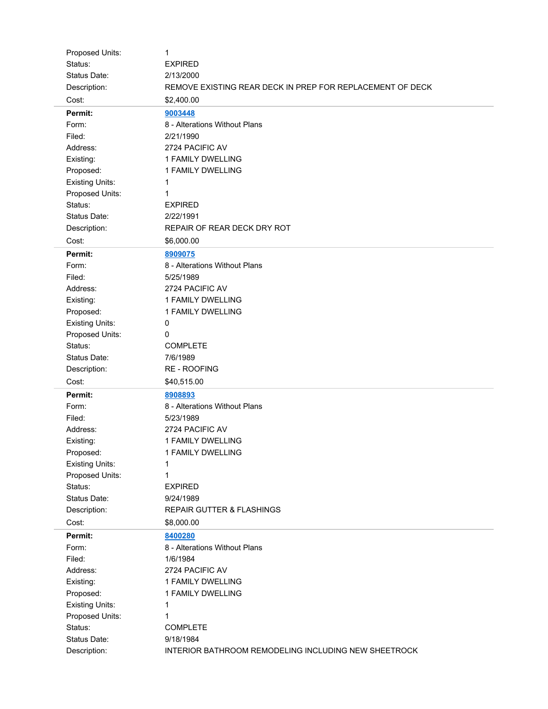| Proposed Units:              | 1                                                                 |
|------------------------------|-------------------------------------------------------------------|
| Status:                      | <b>EXPIRED</b>                                                    |
| Status Date:                 | 2/13/2000                                                         |
| Description:                 | REMOVE EXISTING REAR DECK IN PREP FOR REPLACEMENT OF DECK         |
| Cost:                        | \$2,400.00                                                        |
| Permit:                      | 9003448                                                           |
| Form:                        | 8 - Alterations Without Plans                                     |
| Filed:                       | 2/21/1990                                                         |
| Address:                     | 2724 PACIFIC AV                                                   |
| Existing:                    | 1 FAMILY DWELLING                                                 |
| Proposed:                    | 1 FAMILY DWELLING                                                 |
| <b>Existing Units:</b>       | 1                                                                 |
| Proposed Units:              | 1                                                                 |
| Status:                      | <b>EXPIRED</b>                                                    |
| Status Date:                 | 2/22/1991                                                         |
| Description:                 | REPAIR OF REAR DECK DRY ROT                                       |
| Cost:                        | \$6,000.00                                                        |
| Permit:                      | 8909075                                                           |
| Form:                        | 8 - Alterations Without Plans                                     |
| Filed:                       | 5/25/1989                                                         |
| Address:                     | 2724 PACIFIC AV                                                   |
| Existing:                    | 1 FAMILY DWELLING                                                 |
| Proposed:                    | 1 FAMILY DWELLING                                                 |
| <b>Existing Units:</b>       | 0                                                                 |
| Proposed Units:              | 0                                                                 |
| Status:                      | <b>COMPLETE</b>                                                   |
| Status Date:                 | 7/6/1989                                                          |
| Description:                 | <b>RE - ROOFING</b>                                               |
|                              |                                                                   |
|                              |                                                                   |
| Cost:                        | \$40,515.00                                                       |
| Permit:                      | 8908893                                                           |
| Form:                        | 8 - Alterations Without Plans                                     |
| Filed:                       | 5/23/1989                                                         |
| Address:                     | 2724 PACIFIC AV                                                   |
| Existing:                    | 1 FAMILY DWELLING                                                 |
| Proposed:                    | 1 FAMILY DWELLING                                                 |
| <b>Existing Units:</b>       | 1                                                                 |
| Proposed Units:              | 1                                                                 |
| Status:                      | <b>EXPIRED</b>                                                    |
| Status Date:                 | 9/24/1989                                                         |
| Description:                 | <b>REPAIR GUTTER &amp; FLASHINGS</b>                              |
| Cost:                        | \$8,000.00                                                        |
| Permit:                      | 8400280                                                           |
| Form:                        | 8 - Alterations Without Plans                                     |
| Filed:                       | 1/6/1984                                                          |
| Address:                     | 2724 PACIFIC AV                                                   |
| Existing:                    | 1 FAMILY DWELLING                                                 |
| Proposed:                    | 1 FAMILY DWELLING                                                 |
| <b>Existing Units:</b>       | 1                                                                 |
| Proposed Units:              | 1                                                                 |
| Status:                      | <b>COMPLETE</b>                                                   |
| Status Date:<br>Description: | 9/18/1984<br>INTERIOR BATHROOM REMODELING INCLUDING NEW SHEETROCK |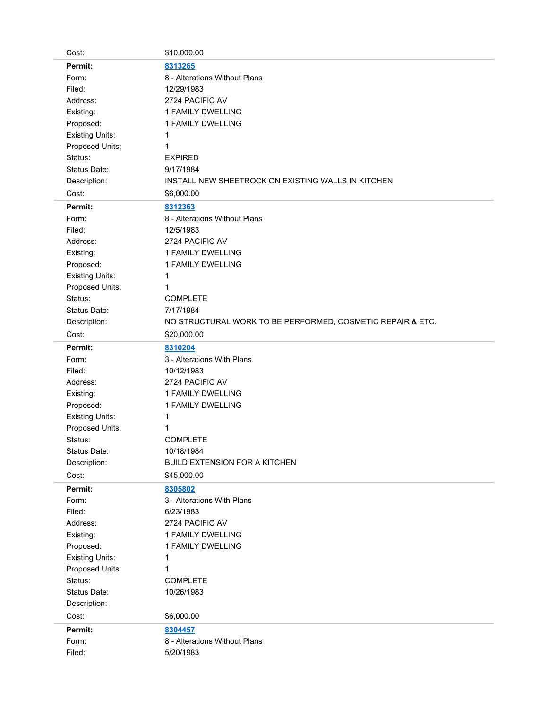| Cost:                  | \$10,000.00                                                |
|------------------------|------------------------------------------------------------|
| Permit:                | 8313265                                                    |
| Form:                  | 8 - Alterations Without Plans                              |
| Filed:                 | 12/29/1983                                                 |
| Address:               | 2724 PACIFIC AV                                            |
| Existing:              | 1 FAMILY DWELLING                                          |
| Proposed:              | 1 FAMILY DWELLING                                          |
| <b>Existing Units:</b> | 1                                                          |
| Proposed Units:        | 1                                                          |
| Status:                | <b>EXPIRED</b>                                             |
| Status Date:           | 9/17/1984                                                  |
| Description:           | INSTALL NEW SHEETROCK ON EXISTING WALLS IN KITCHEN         |
| Cost:                  | \$6,000.00                                                 |
| Permit:                | 8312363                                                    |
| Form:                  | 8 - Alterations Without Plans                              |
| Filed:                 | 12/5/1983                                                  |
| Address:               | 2724 PACIFIC AV                                            |
| Existing:              | 1 FAMILY DWELLING                                          |
| Proposed:              | 1 FAMILY DWELLING                                          |
| <b>Existing Units:</b> | 1                                                          |
| Proposed Units:        | 1                                                          |
| Status:                | <b>COMPLETE</b>                                            |
| Status Date:           | 7/17/1984                                                  |
| Description:           | NO STRUCTURAL WORK TO BE PERFORMED, COSMETIC REPAIR & ETC. |
| Cost:                  | \$20,000.00                                                |
| Permit:                | 8310204                                                    |
|                        |                                                            |
| Form:                  | 3 - Alterations With Plans                                 |
| Filed:                 | 10/12/1983                                                 |
| Address:               | 2724 PACIFIC AV                                            |
| Existing:              | 1 FAMILY DWELLING                                          |
| Proposed:              | 1 FAMILY DWELLING                                          |
| <b>Existing Units:</b> | 1                                                          |
| Proposed Units:        | 1                                                          |
| Status:                | <b>COMPLETE</b>                                            |
| Status Date:           | 10/18/1984                                                 |
| Description:           | <b>BUILD EXTENSION FOR A KITCHEN</b>                       |
| Cost:                  | \$45,000.00                                                |
| Permit:                | 8305802                                                    |
| Form:                  | 3 - Alterations With Plans                                 |
| Filed:                 | 6/23/1983                                                  |
| Address:               | 2724 PACIFIC AV                                            |
| Existing:              | 1 FAMILY DWELLING                                          |
| Proposed:              | 1 FAMILY DWELLING                                          |
| <b>Existing Units:</b> | 1                                                          |
| Proposed Units:        | 1                                                          |
| Status:                | <b>COMPLETE</b>                                            |
| Status Date:           | 10/26/1983                                                 |
| Description:           |                                                            |
| Cost:                  | \$6,000.00                                                 |
| Permit:                | 8304457                                                    |
| Form:                  | 8 - Alterations Without Plans                              |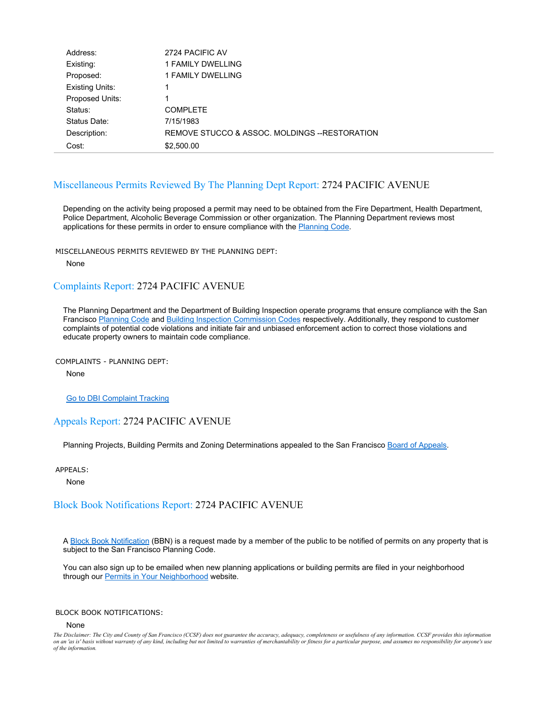| Address:               | 2724 PACIFIC AV                                |
|------------------------|------------------------------------------------|
| Existing:              | 1 FAMILY DWELLING                              |
| Proposed:              | 1 FAMILY DWELLING                              |
| <b>Existing Units:</b> | 1                                              |
| Proposed Units:        | 1                                              |
| Status:                | <b>COMPLETE</b>                                |
| Status Date:           | 7/15/1983                                      |
| Description:           | REMOVE STUCCO & ASSOC. MOLDINGS -- RESTORATION |
| Cost:                  | \$2,500.00                                     |

# Miscellaneous Permits Reviewed By The Planning Dept Report: 2724 PACIFIC AVENUE

Depending on the activity being proposed a permit may need to be obtained from the Fire Department, Health Department, Police Department, Alcoholic Beverage Commission or other organization. The Planning Department reviews most applications for these permits in order to ensure compliance with the **Planning Code**.

MISCELLANEOUS PERMITS REVIEWED BY THE PLANNING DEPT:

None

### Complaints Report: 2724 PACIFIC AVENUE

The Planning Department and the Department of Building Inspection operate programs that ensure compliance with the San Francisco Planning Code and Building Inspection Commission Codes respectively. Additionally, they respond to customer complaints of potential code violations and initiate fair and unbiased enforcement action to correct those violations and educate property owners to maintain code compliance.

COMPLAINTS - PLANNING DEPT:

None

Go to DBI Complaint Tracking

### Appeals Report: 2724 PACIFIC AVENUE

Planning Projects, Building Permits and Zoning Determinations appealed to the San Francisco Board of Appeals.

APPEALS:

None

### Block Book Notifications Report: 2724 PACIFIC AVENUE

A Block Book Notification (BBN) is a request made by a member of the public to be notified of permits on any property that is subject to the San Francisco Planning Code.

You can also sign up to be emailed when new planning applications or building permits are filed in your neighborhood through our Permits in Your Neighborhood website.

#### BLOCK BOOK NOTIFICATIONS:

#### None

*The Disclaimer: The City and County of San Francisco (CCSF) does not guarantee the accuracy, adequacy, completeness or usefulness of any information. CCSF provides this information on an 'as is' basis without warranty of any kind, including but not limited to warranties of merchantability or fitness for a particular purpose, and assumes no responsibility for anyone's use of the information.*